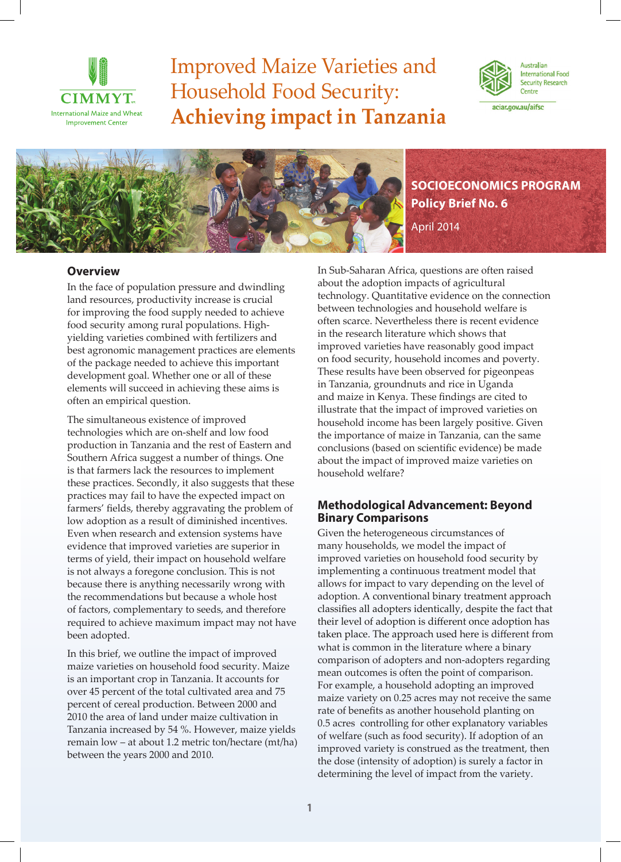

# Improved Maize Varieties and Household Food Security: **Achieving impact in Tanzania**



Australian **International Food Security Research** Centre

aciar.gov.au/aifsc



## **Overview**

In the face of population pressure and dwindling land resources, productivity increase is crucial for improving the food supply needed to achieve food security among rural populations. Highyielding varieties combined with fertilizers and best agronomic management practices are elements of the package needed to achieve this important development goal. Whether one or all of these elements will succeed in achieving these aims is often an empirical question.

The simultaneous existence of improved technologies which are on-shelf and low food production in Tanzania and the rest of Eastern and Southern Africa suggest a number of things. One is that farmers lack the resources to implement these practices. Secondly, it also suggests that these practices may fail to have the expected impact on farmers' fields, thereby aggravating the problem of low adoption as a result of diminished incentives. Even when research and extension systems have evidence that improved varieties are superior in terms of yield, their impact on household welfare is not always a foregone conclusion. This is not because there is anything necessarily wrong with the recommendations but because a whole host of factors, complementary to seeds, and therefore required to achieve maximum impact may not have been adopted.

In this brief, we outline the impact of improved maize varieties on household food security. Maize is an important crop in Tanzania. It accounts for over 45 percent of the total cultivated area and 75 percent of cereal production. Between 2000 and 2010 the area of land under maize cultivation in Tanzania increased by 54 %. However, maize yields remain low – at about 1.2 metric ton/hectare (mt/ha) between the years 2000 and 2010.

In Sub-Saharan Africa, questions are often raised about the adoption impacts of agricultural technology. Quantitative evidence on the connection between technologies and household welfare is often scarce. Nevertheless there is recent evidence in the research literature which shows that improved varieties have reasonably good impact on food security, household incomes and poverty. These results have been observed for pigeonpeas in Tanzania, groundnuts and rice in Uganda and maize in Kenya. These findings are cited to illustrate that the impact of improved varieties on household income has been largely positive. Given the importance of maize in Tanzania, can the same conclusions (based on scientific evidence) be made about the impact of improved maize varieties on household welfare?

# **Methodological Advancement: Beyond Binary Comparisons**

Given the heterogeneous circumstances of many households, we model the impact of improved varieties on household food security by implementing a continuous treatment model that allows for impact to vary depending on the level of adoption. A conventional binary treatment approach classifies all adopters identically, despite the fact that their level of adoption is different once adoption has taken place. The approach used here is different from what is common in the literature where a binary comparison of adopters and non-adopters regarding mean outcomes is often the point of comparison. For example, a household adopting an improved maize variety on 0.25 acres may not receive the same rate of benefits as another household planting on 0.5 acres controlling for other explanatory variables of welfare (such as food security). If adoption of an improved variety is construed as the treatment, then the dose (intensity of adoption) is surely a factor in determining the level of impact from the variety.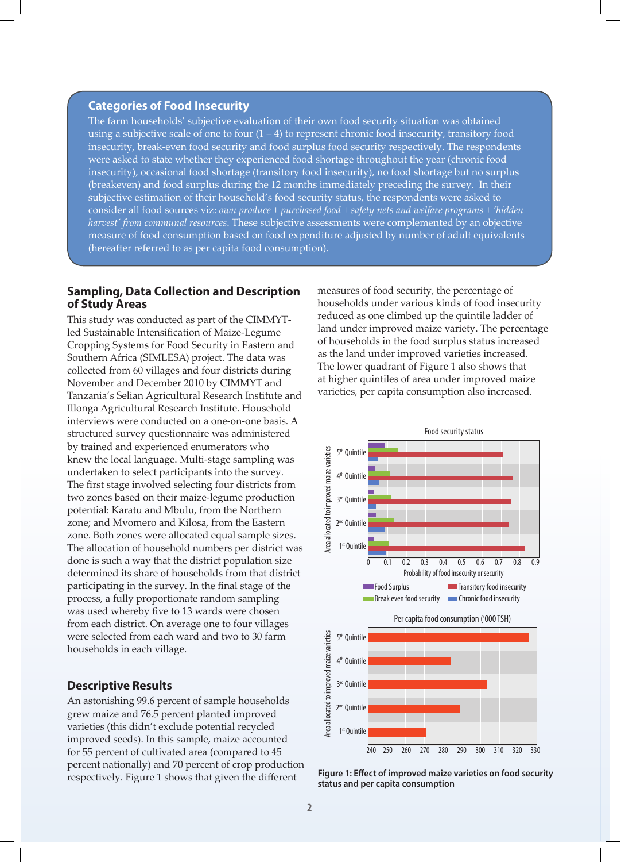#### **Categories of Food Insecurity**

The farm households' subjective evaluation of their own food security situation was obtained using a subjective scale of one to four  $(1 – 4)$  to represent chronic food insecurity, transitory food insecurity, break-even food security and food surplus food security respectively. The respondents were asked to state whether they experienced food shortage throughout the year (chronic food insecurity), occasional food shortage (transitory food insecurity), no food shortage but no surplus (breakeven) and food surplus during the 12 months immediately preceding the survey. In their subjective estimation of their household's food security status, the respondents were asked to consider all food sources viz: *own produce + purchased food + safety nets and welfare programs + 'hidden harvest' from communal resources*. These subjective assessments were complemented by an objective measure of food consumption based on food expenditure adjusted by number of adult equivalents (hereafter referred to as per capita food consumption).

#### **Sampling, Data Collection and Description of Study Areas**

This study was conducted as part of the CIMMYTled Sustainable Intensification of Maize-Legume Cropping Systems for Food Security in Eastern and Southern Africa (SIMLESA) project. The data was collected from 60 villages and four districts during November and December 2010 by CIMMYT and Tanzania's Selian Agricultural Research Institute and Illonga Agricultural Research Institute. Household interviews were conducted on a one-on-one basis. A structured survey questionnaire was administered by trained and experienced enumerators who knew the local language. Multi-stage sampling was undertaken to select participants into the survey. The first stage involved selecting four districts from two zones based on their maize-legume production potential: Karatu and Mbulu, from the Northern zone; and Mvomero and Kilosa, from the Eastern zone. Both zones were allocated equal sample sizes. The allocation of household numbers per district was done is such a way that the district population size determined its share of households from that district participating in the survey. In the final stage of the process, a fully proportionate random sampling was used whereby five to 13 wards were chosen from each district. On average one to four villages were selected from each ward and two to 30 farm households in each village.

## **Descriptive Results**

An astonishing 99.6 percent of sample households grew maize and 76.5 percent planted improved varieties (this didn't exclude potential recycled improved seeds). In this sample, maize accounted for 55 percent of cultivated area (compared to 45 percent nationally) and 70 percent of crop production respectively. Figure 1 shows that given the different

measures of food security, the percentage of households under various kinds of food insecurity reduced as one climbed up the quintile ladder of land under improved maize variety. The percentage of households in the food surplus status increased as the land under improved varieties increased. The lower quadrant of Figure 1 also shows that at higher quintiles of area under improved maize varieties, per capita consumption also increased.



**Figure 1: Effect of improved maize varieties on food security**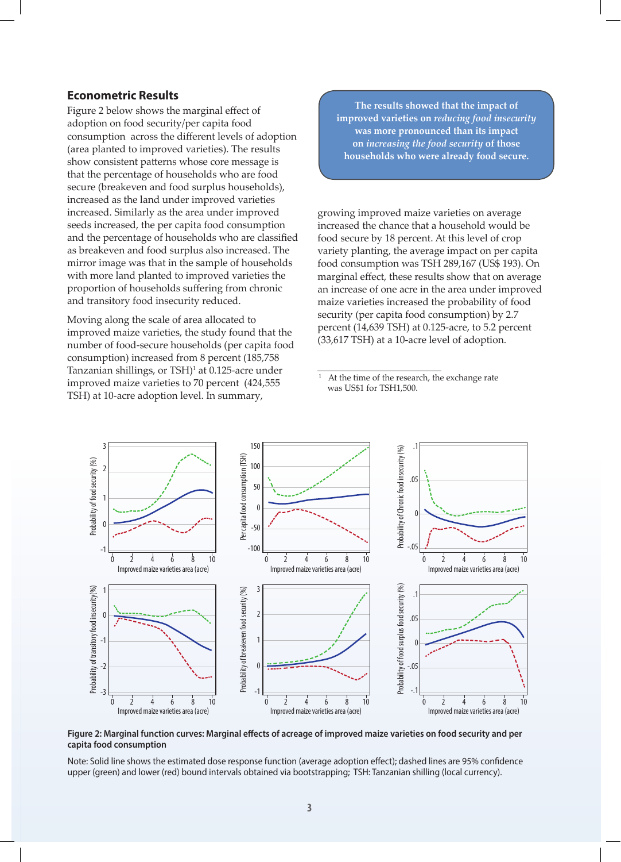## **Econometric Results**

Figure 2 below shows the marginal effect of adoption on food security/per capita food consumption across the different levels of adoption (area planted to improved varieties). The results show consistent patterns whose core message is that the percentage of households who are food secure (breakeven and food surplus households), increased as the land under improved varieties increased. Similarly as the area under improved seeds increased, the per capita food consumption and the percentage of households who are classified as breakeven and food surplus also increased. The mirror image was that in the sample of households with more land planted to improved varieties the proportion of households suffering from chronic and transitory food insecurity reduced.

Moving along the scale of area allocated to improved maize varieties, the study found that the number of food-secure households (per capita food consumption) increased from 8 percent (185,758 Tanzanian shillings, or TSH)<sup>1</sup> at 0.125-acre under improved maize varieties to 70 percent (424,555 TSH) at 10-acre adoption level. In summary,

**The results showed that the impact of improved varieties on** *reducing food insecurity* **was more pronounced than its impact on** *increasing the food security* **of those households who were already food secure.** 

growing improved maize varieties on average increased the chance that a household would be food secure by 18 percent. At this level of crop variety planting, the average impact on per capita food consumption was TSH 289,167 (US\$ 193). On marginal effect, these results show that on average an increase of one acre in the area under improved maize varieties increased the probability of food security (per capita food consumption) by 2.7 percent (14,639 TSH) at 0.125-acre, to 5.2 percent (33,617 TSH) at a 10-acre level of adoption.

At the time of the research, the exchange rate was US\$1 for TSH1,500.



**Figure 2: Marginal function curves: Marginal effects of acreage of improved maize varieties on food security and per capita food consumption**

Note: Solid line shows the estimated dose response function (average adoption effect); dashed lines are 95% confidence upper (green) and lower (red) bound intervals obtained via bootstrapping; TSH: Tanzanian shilling (local currency).